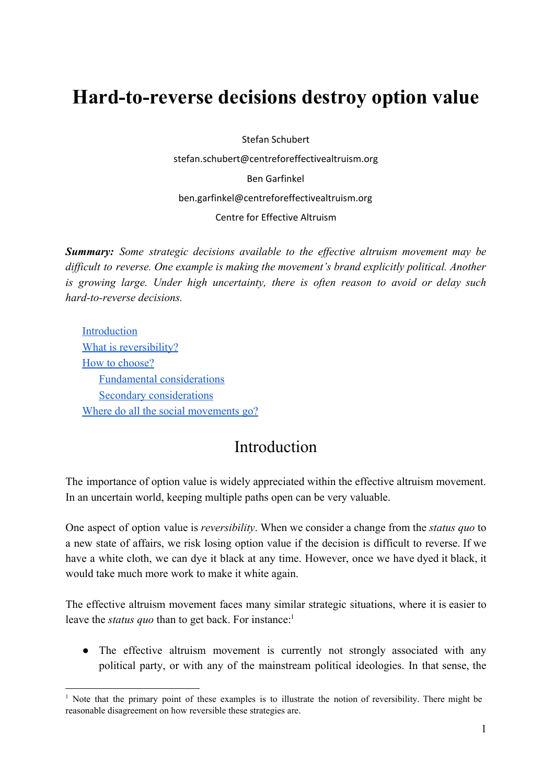# **Hard-to-reverse decisions destroy option value**

Stefan Schubert stefan.schubert@centreforeffectivealtruism.org Ben Garfinkel ben.garfinkel@centreforeffectivealtruism.org Centre for Effective Altruism

*Summary: Some strategic decisions available to the effective altruism movement may be difficult to reverse. One example is making the movement's brand explicitly political. Another is growing large. Under high uncertainty, there is often reason to avoid or delay such hard-to-reverse decisions.*

[Introduction](#page-0-0) [What is reversibility?](#page-1-0) [How to choose?](#page-3-0) [Fundamental considerations](#page-3-1) [Secondary considerations](#page-4-0) [Where do all the social movements go?](#page-7-0)

#### Introduction

<span id="page-0-0"></span>The importance of option value is widely appreciated within the effective altruism movement. In an uncertain world, keeping multiple paths open can be very valuable.

One aspect of option value is *reversibility*. When we consider a change from the *status quo* to a new state of affairs, we risk losing option value if the decision is difficult to reverse. If we have a white cloth, we can dye it black at any time. However, once we have dyed it black, it would take much more work to make it white again.

The effective altruism movement faces many similar strategic situations, where it is easier to leave the *status quo* than to get back. For instance:<sup>1</sup>

• The effective altruism movement is currently not strongly associated with any political party, or with any of the mainstream political ideologies. In that sense, the

<sup>&</sup>lt;sup>1</sup> Note that the primary point of these examples is to illustrate the notion of reversibility. There might be reasonable disagreement on how reversible these strategies are.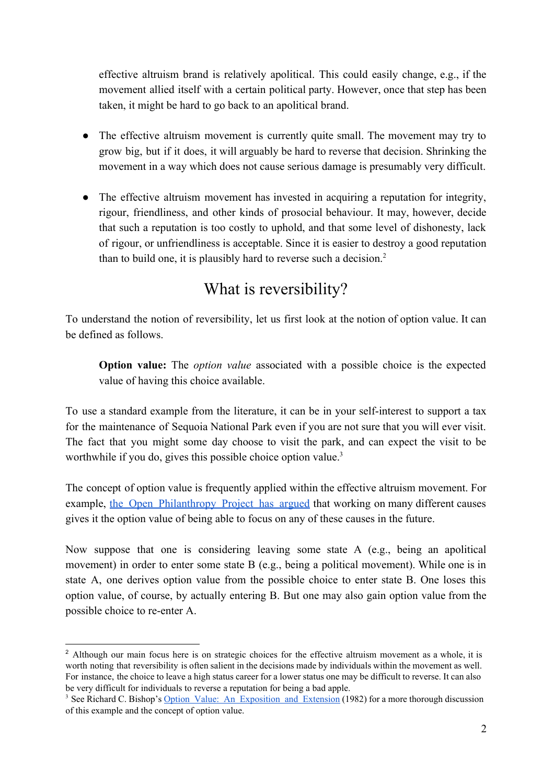effective altruism brand is relatively apolitical. This could easily change, e.g., if the movement allied itself with a certain political party. However, once that step has been taken, it might be hard to go back to an apolitical brand.

- The effective altruism movement is currently quite small. The movement may try to grow big, but if it does, it will arguably be hard to reverse that decision. Shrinking the movement in a way which does not cause serious damage is presumably very difficult.
- The effective altruism movement has invested in acquiring a reputation for integrity, rigour, friendliness, and other kinds of prosocial behaviour. It may, however, decide that such a reputation is too costly to uphold, and that some level of dishonesty, lack of rigour, or unfriendliness is acceptable. Since it is easier to destroy a good reputation than to build one, it is plausibly hard to reverse such a decision. $<sup>2</sup>$ </sup>

#### What is reversibility?

<span id="page-1-0"></span>To understand the notion of reversibility, let us first look at the notion of option value. It can be defined as follows.

**Option value:** The *option value* associated with a possible choice is the expected value of having this choice available.

To use a standard example from the literature, it can be in your self-interest to support a tax for the maintenance of Sequoia National Park even if you are not sure that you will ever visit. The fact that you might some day choose to visit the park, and can expect the visit to be worthwhile if you do, gives this possible choice option value.<sup>3</sup>

The concept of option value is frequently applied within the effective altruism movement. For example, the Open [Philanthropy](http://www.openphilanthropy.org/blog/worldview-diversification#Capacity_building_and_option_value) Project has argued that working on many different causes gives it the option value of being able to focus on any of these causes in the future.

Now suppose that one is considering leaving some state A (e.g., being an apolitical movement) in order to enter some state B (e.g., being a political movement). While one is in state A, one derives option value from the possible choice to enter state B. One loses this option value, of course, by actually entering B. But one may also gain option value from the possible choice to re-enter A.

<sup>&</sup>lt;sup>2</sup> Although our main focus here is on strategic choices for the effective altruism movement as a whole, it is worth noting that reversibility is often salient in the decisions made by individuals within the movement as well. For instance, the choice to leave a high status career for a lower status one may be difficult to reverse. It can also be very difficult for individuals to reverse a reputation for being a bad apple.

<sup>&</sup>lt;sup>3</sup> See Richard C. Bishop's [Option](https://www.jstor.org/stable/3146073) [Value:](https://www.jstor.org/stable/3146073) [An](https://www.jstor.org/stable/3146073) [Exposition](https://www.jstor.org/stable/3146073) [and](https://www.jstor.org/stable/3146073) [Extension](https://www.jstor.org/stable/3146073) (1982) for a more thorough discussion of this example and the concept of option value.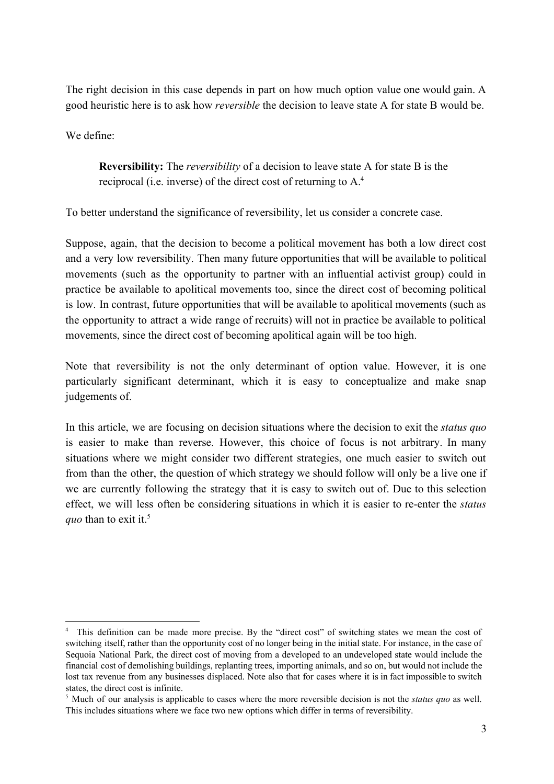The right decision in this case depends in part on how much option value one would gain. A good heuristic here is to ask how *reversible* the decision to leave state A for state B would be.

We define:

**Reversibility:** The *reversibility* of a decision to leave state A for state B is the reciprocal (i.e. inverse) of the direct cost of returning to A.<sup>4</sup>

To better understand the significance of reversibility, let us consider a concrete case.

Suppose, again, that the decision to become a political movement has both a low direct cost and a very low reversibility. Then many future opportunities that will be available to political movements (such as the opportunity to partner with an influential activist group) could in practice be available to apolitical movements too, since the direct cost of becoming political is low. In contrast, future opportunities that will be available to apolitical movements (such as the opportunity to attract a wide range of recruits) will not in practice be available to political movements, since the direct cost of becoming apolitical again will be too high.

Note that reversibility is not the only determinant of option value. However, it is one particularly significant determinant, which it is easy to conceptualize and make snap judgements of.

In this article, we are focusing on decision situations where the decision to exit the *status quo* is easier to make than reverse. However, this choice of focus is not arbitrary. In many situations where we might consider two different strategies, one much easier to switch out from than the other, the question of which strategy we should follow will only be a live one if we are currently following the strategy that it is easy to switch out of. Due to this selection effect, we will less often be considering situations in which it is easier to re-enter the *status quo* than to exit it.<sup>5</sup>

<sup>4</sup> This definition can be made more precise. By the "direct cost" of switching states we mean the cost of switching itself, rather than the opportunity cost of no longer being in the initial state. For instance, in the case of Sequoia National Park, the direct cost of moving from a developed to an undeveloped state would include the financial cost of demolishing buildings, replanting trees, importing animals, and so on, but would not include the lost tax revenue from any businesses displaced. Note also that for cases where it is in fact impossible to switch states, the direct cost is infinite.

<sup>5</sup> Much of our analysis is applicable to cases where the more reversible decision is not the *status quo* as well. This includes situations where we face two new options which differ in terms of reversibility.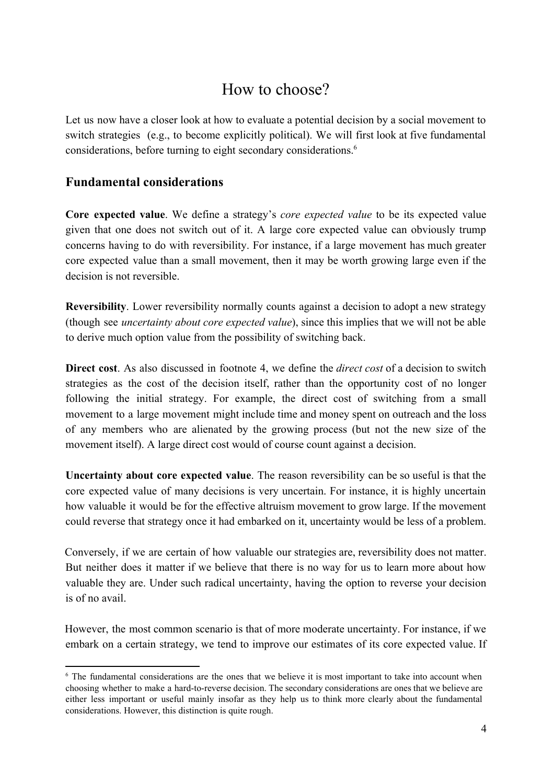## How to choose?

<span id="page-3-0"></span>Let us now have a closer look at how to evaluate a potential decision by a social movement to switch strategies (e.g., to become explicitly political). We will first look at five fundamental considerations, before turning to eight secondary considerations.<sup>6</sup>

#### <span id="page-3-1"></span>**Fundamental considerations**

**Core expected value**. We define a strategy's *core expected value* to be its expected value given that one does not switch out of it. A large core expected value can obviously trump concerns having to do with reversibility. For instance, if a large movement has much greater core expected value than a small movement, then it may be worth growing large even if the decision is not reversible.

**Reversibility**. Lower reversibility normally counts against a decision to adopt a new strategy (though see *uncertainty about core expected value*), since this implies that we will not be able to derive much option value from the possibility of switching back.

**Direct cost**. As also discussed in footnote 4, we define the *direct cost* of a decision to switch strategies as the cost of the decision itself, rather than the opportunity cost of no longer following the initial strategy. For example, the direct cost of switching from a small movement to a large movement might include time and money spent on outreach and the loss of any members who are alienated by the growing process (but not the new size of the movement itself). A large direct cost would of course count against a decision.

**Uncertainty about core expected value**. The reason reversibility can be so useful is that the core expected value of many decisions is very uncertain. For instance, it is highly uncertain how valuable it would be for the effective altruism movement to grow large. If the movement could reverse that strategy once it had embarked on it, uncertainty would be less of a problem.

Conversely, if we are certain of how valuable our strategies are, reversibility does not matter. But neither does it matter if we believe that there is no way for us to learn more about how valuable they are. Under such radical uncertainty, having the option to reverse your decision is of no avail.

However, the most common scenario is that of more moderate uncertainty. For instance, if we embark on a certain strategy, we tend to improve our estimates of its core expected value. If

<sup>&</sup>lt;sup>6</sup> The fundamental considerations are the ones that we believe it is most important to take into account when choosing whether to make a hard-to-reverse decision. The secondary considerations are ones that we believe are either less important or useful mainly insofar as they help us to think more clearly about the fundamental considerations. However, this distinction is quite rough.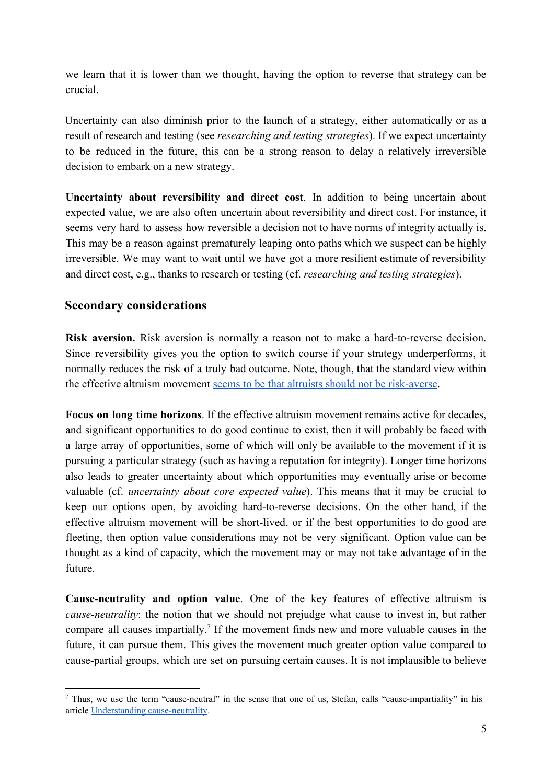we learn that it is lower than we thought, having the option to reverse that strategy can be crucial.

Uncertainty can also diminish prior to the launch of a strategy, either automatically or as a result of research and testing (see *researching and testing strategies*). If we expect uncertainty to be reduced in the future, this can be a strong reason to delay a relatively irreversible decision to embark on a new strategy.

**Uncertainty about reversibility and direct cost**. In addition to being uncertain about expected value, we are also often uncertain about reversibility and direct cost. For instance, it seems very hard to assess how reversible a decision not to have norms of integrity actually is. This may be a reason against prematurely leaping onto paths which we suspect can be highly irreversible. We may want to wait until we have got a more resilient estimate of reversibility and direct cost, e.g., thanks to research or testing (cf. *researching and testing strategies*).

#### <span id="page-4-0"></span>**Secondary considerations**

**Risk aversion.** Risk aversion is normally a reason not to make a hard-to-reverse decision. Since reversibility gives you the option to switch course if your strategy underperforms, it normally reduces the risk of a truly bad outcome. Note, though, that the standard view within the effective altruism movement [seems to be that altruists should not be risk-averse.](https://concepts.effectivealtruism.org/concepts/risk-aversion/)

**Focus on long time horizons**. If the effective altruism movement remains active for decades, and significant opportunities to do good continue to exist, then it will probably be faced with a large array of opportunities, some of which will only be available to the movement if it is pursuing a particular strategy (such as having a reputation for integrity). Longer time horizons also leads to greater uncertainty about which opportunities may eventually arise or become valuable (cf. *uncertainty about core expected value*). This means that it may be crucial to keep our options open, by avoiding hard-to-reverse decisions. On the other hand, if the effective altruism movement will be short-lived, or if the best opportunities to do good are fleeting, then option value considerations may not be very significant. Option value can be thought as a kind of capacity, which the movement may or may not take advantage of in the future.

**Cause-neutrality and option value**. One of the key features of effective altruism is *cause-neutrality*: the notion that we should not prejudge what cause to invest in, but rather compare all causes impartially.<sup>7</sup> If the movement finds new and more valuable causes in the future, it can pursue them. This gives the movement much greater option value compared to cause-partial groups, which are set on pursuing certain causes. It is not implausible to believe

<sup>&</sup>lt;sup>7</sup> Thus, we use the term "cause-neutral" in the sense that one of us, Stefan, calls "cause-impartiality" in his article [Understanding cause-neutrality.](https://www.centreforeffectivealtruism.org/blog/understanding-cause-neutrality/)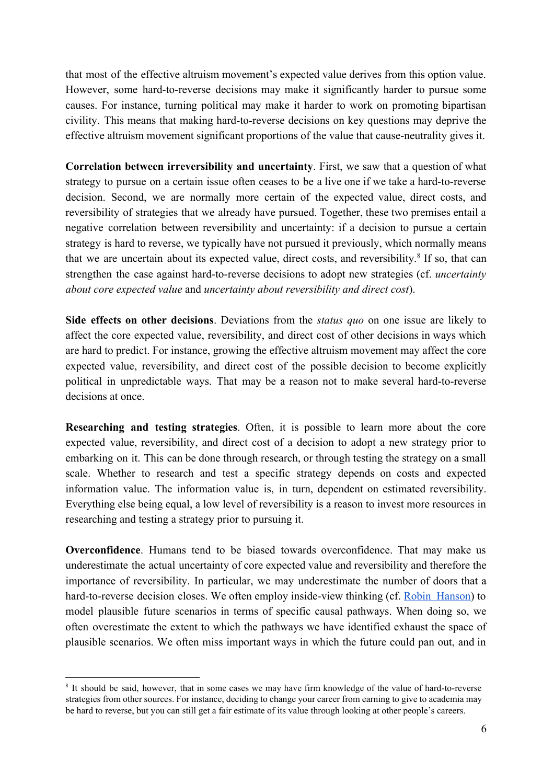that most of the effective altruism movement's expected value derives from this option value. However, some hard-to-reverse decisions may make it significantly harder to pursue some causes. For instance, turning political may make it harder to work on promoting bipartisan civility. This means that making hard-to-reverse decisions on key questions may deprive the effective altruism movement significant proportions of the value that cause-neutrality gives it.

**Correlation between irreversibility and uncertainty**. First, we saw that a question of what strategy to pursue on a certain issue often ceases to be a live one if we take a hard-to-reverse decision. Second, we are normally more certain of the expected value, direct costs, and reversibility of strategies that we already have pursued. Together, these two premises entail a negative correlation between reversibility and uncertainty: if a decision to pursue a certain strategy is hard to reverse, we typically have not pursued it previously, which normally means that we are uncertain about its expected value, direct costs, and reversibility.<sup>8</sup> If so, that can strengthen the case against hard-to-reverse decisions to adopt new strategies (cf. *uncertainty about core expected value* and *uncertainty about reversibility and direct cost*).

**Side effects on other decisions**. Deviations from the *status quo* on one issue are likely to affect the core expected value, reversibility, and direct cost of other decisions in ways which are hard to predict. For instance, growing the effective altruism movement may affect the core expected value, reversibility, and direct cost of the possible decision to become explicitly political in unpredictable ways. That may be a reason not to make several hard-to-reverse decisions at once.

**Researching and testing strategies**. Often, it is possible to learn more about the core expected value, reversibility, and direct cost of a decision to adopt a new strategy prior to embarking on it. This can be done through research, or through testing the strategy on a small scale. Whether to research and test a specific strategy depends on costs and expected information value. The information value is, in turn, dependent on estimated reversibility. Everything else being equal, a low level of reversibility is a reason to invest more resources in researching and testing a strategy prior to pursuing it.

**Overconfidence**. Humans tend to be biased towards overconfidence. That may make us underestimate the actual uncertainty of core expected value and reversibility and therefore the importance of reversibility. In particular, we may underestimate the number of doors that a hard-to-reverse decision closes. We often employ inside-view thinking (cf. Robin [Hanson\)](http://www.overcomingbias.com/2007/07/beware-the-insi.html) to model plausible future scenarios in terms of specific causal pathways. When doing so, we often overestimate the extent to which the pathways we have identified exhaust the space of plausible scenarios. We often miss important ways in which the future could pan out, and in

<sup>&</sup>lt;sup>8</sup> It should be said, however, that in some cases we may have firm knowledge of the value of hard-to-reverse strategies from other sources. For instance, deciding to change your career from earning to give to academia may be hard to reverse, but you can still get a fair estimate of its value through looking at other people's careers.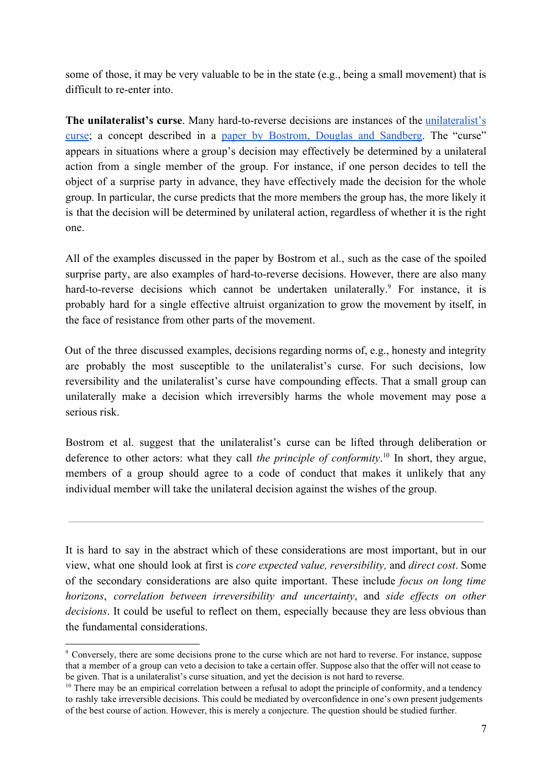some of those, it may be very valuable to be in the state (e.g., being a small movement) that is difficult to re-enter into.

**The unilateralist's curse**. Many hard-to-reverse decisions are instances of the [unilateralist's](https://concepts.effectivealtruism.org/concepts/unilateralists-curse/) [curse;](https://concepts.effectivealtruism.org/concepts/unilateralists-curse/) a concept described in a [paper](http://www.nickbostrom.com/papers/unilateralist.pdf) [by](http://www.nickbostrom.com/papers/unilateralist.pdf) [Bostrom,](http://www.nickbostrom.com/papers/unilateralist.pdf) [Douglas](http://www.nickbostrom.com/papers/unilateralist.pdf) [and](http://www.nickbostrom.com/papers/unilateralist.pdf) [Sandberg.](http://www.nickbostrom.com/papers/unilateralist.pdf) The "curse" appears in situations where a group's decision may effectively be determined by a unilateral action from a single member of the group. For instance, if one person decides to tell the object of a surprise party in advance, they have effectively made the decision for the whole group. In particular, the curse predicts that the more members the group has, the more likely it is that the decision will be determined by unilateral action, regardless of whether it is the right one.

All of the examples discussed in the paper by Bostrom et al., such as the case of the spoiled surprise party, are also examples of hard-to-reverse decisions. However, there are also many hard-to-reverse decisions which cannot be undertaken unilaterally.<sup>9</sup> For instance, it is probably hard for a single effective altruist organization to grow the movement by itself, in the face of resistance from other parts of the movement.

Out of the three discussed examples, decisions regarding norms of, e.g., honesty and integrity are probably the most susceptible to the unilateralist's curse. For such decisions, low reversibility and the unilateralist's curse have compounding effects. That a small group can unilaterally make a decision which irreversibly harms the whole movement may pose a serious risk.

Bostrom et al. suggest that the unilateralist's curse can be lifted through deliberation or deference to other actors: what they call *the principle of conformity*. In short, they argue, <sup>10</sup> members of a group should agree to a code of conduct that makes it unlikely that any individual member will take the unilateral decision against the wishes of the group.

It is hard to say in the abstract which of these considerations are most important, but in our view, what one should look at first is *core expected value, reversibility,* and *direct cost*. Some of the secondary considerations are also quite important. These include *focus on long time horizons*, *correlation between irreversibility and uncertainty*, and *side effects on other decisions*. It could be useful to reflect on them, especially because they are less obvious than the fundamental considerations.

<sup>&</sup>lt;sup>9</sup> Conversely, there are some decisions prone to the curse which are not hard to reverse. For instance, suppose that a member of a group can veto a decision to take a certain offer. Suppose also that the offer will not cease to be given. That is a unilateralist's curse situation, and yet the decision is not hard to reverse.

 $10$  There may be an empirical correlation between a refusal to adopt the principle of conformity, and a tendency to rashly take irreversible decisions. This could be mediated by overconfidence in one's own present judgements of the best course of action. However, this is merely a conjecture. The question should be studied further.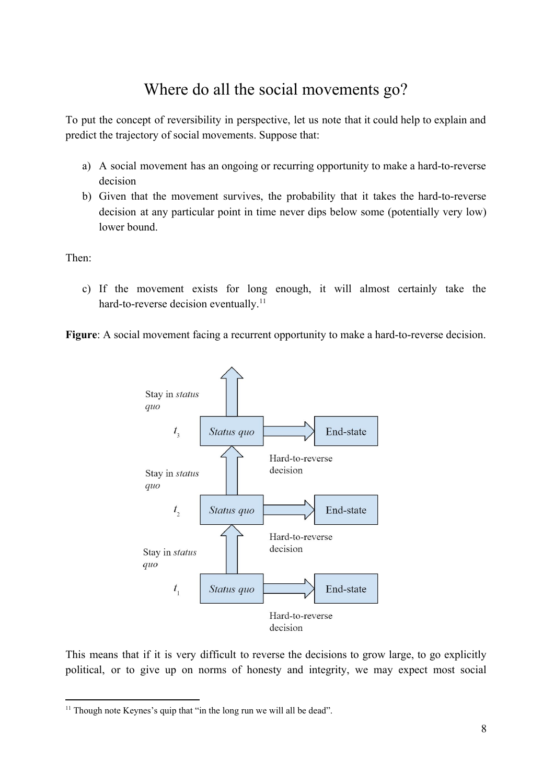## Where do all the social movements go?

<span id="page-7-0"></span>To put the concept of reversibility in perspective, let us note that it could help to explain and predict the trajectory of social movements. Suppose that:

- a) A social movement has an ongoing or recurring opportunity to make a hard-to-reverse decision
- b) Given that the movement survives, the probability that it takes the hard-to-reverse decision at any particular point in time never dips below some (potentially very low) lower bound.

Then:

c) If the movement exists for long enough, it will almost certainly take the hard-to-reverse decision eventually.<sup>11</sup>

**Figure**: A social movement facing a recurrent opportunity to make a hard-to-reverse decision.



This means that if it is very difficult to reverse the decisions to grow large, to go explicitly political, or to give up on norms of honesty and integrity, we may expect most social

 $11$  Though note Keynes's quip that "in the long run we will all be dead".